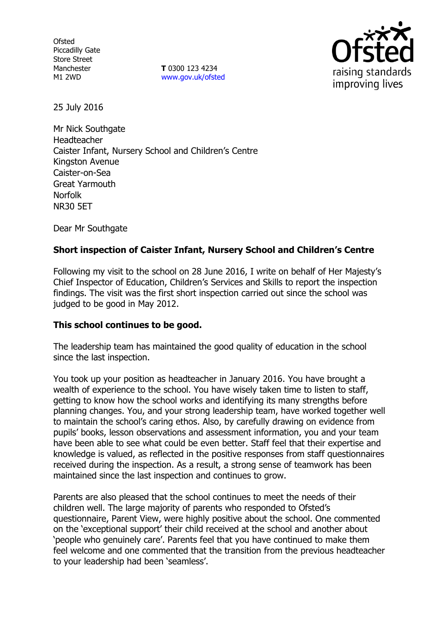**Ofsted** Piccadilly Gate Store Street Manchester M1 2WD

**T** 0300 123 4234 www.gov.uk/ofsted



25 July 2016

Mr Nick Southgate Headteacher Caister Infant, Nursery School and Children's Centre Kingston Avenue Caister-on-Sea Great Yarmouth Norfolk NR30 5ET

Dear Mr Southgate

# **Short inspection of Caister Infant, Nursery School and Children's Centre**

Following my visit to the school on 28 June 2016, I write on behalf of Her Majesty's Chief Inspector of Education, Children's Services and Skills to report the inspection findings. The visit was the first short inspection carried out since the school was judged to be good in May 2012.

## **This school continues to be good.**

The leadership team has maintained the good quality of education in the school since the last inspection.

You took up your position as headteacher in January 2016. You have brought a wealth of experience to the school. You have wisely taken time to listen to staff, getting to know how the school works and identifying its many strengths before planning changes. You, and your strong leadership team, have worked together well to maintain the school's caring ethos. Also, by carefully drawing on evidence from pupils' books, lesson observations and assessment information, you and your team have been able to see what could be even better. Staff feel that their expertise and knowledge is valued, as reflected in the positive responses from staff questionnaires received during the inspection. As a result, a strong sense of teamwork has been maintained since the last inspection and continues to grow.

Parents are also pleased that the school continues to meet the needs of their children well. The large majority of parents who responded to Ofsted's questionnaire, Parent View, were highly positive about the school. One commented on the 'exceptional support' their child received at the school and another about 'people who genuinely care'. Parents feel that you have continued to make them feel welcome and one commented that the transition from the previous headteacher to your leadership had been 'seamless'.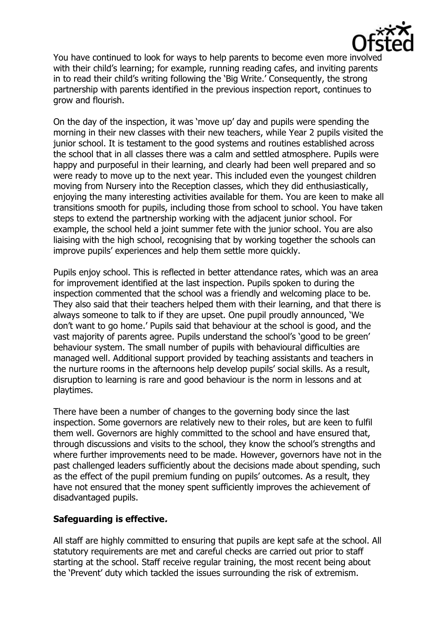

You have continued to look for ways to help parents to become even more involved with their child's learning; for example, running reading cafes, and inviting parents in to read their child's writing following the 'Big Write.' Consequently, the strong partnership with parents identified in the previous inspection report, continues to grow and flourish.

On the day of the inspection, it was 'move up' day and pupils were spending the morning in their new classes with their new teachers, while Year 2 pupils visited the junior school. It is testament to the good systems and routines established across the school that in all classes there was a calm and settled atmosphere. Pupils were happy and purposeful in their learning, and clearly had been well prepared and so were ready to move up to the next year. This included even the youngest children moving from Nursery into the Reception classes, which they did enthusiastically, enjoying the many interesting activities available for them. You are keen to make all transitions smooth for pupils, including those from school to school. You have taken steps to extend the partnership working with the adjacent junior school. For example, the school held a joint summer fete with the junior school. You are also liaising with the high school, recognising that by working together the schools can improve pupils' experiences and help them settle more quickly.

Pupils enjoy school. This is reflected in better attendance rates, which was an area for improvement identified at the last inspection. Pupils spoken to during the inspection commented that the school was a friendly and welcoming place to be. They also said that their teachers helped them with their learning, and that there is always someone to talk to if they are upset. One pupil proudly announced, 'We don't want to go home.' Pupils said that behaviour at the school is good, and the vast majority of parents agree. Pupils understand the school's 'good to be green' behaviour system. The small number of pupils with behavioural difficulties are managed well. Additional support provided by teaching assistants and teachers in the nurture rooms in the afternoons help develop pupils' social skills. As a result, disruption to learning is rare and good behaviour is the norm in lessons and at playtimes.

There have been a number of changes to the governing body since the last inspection. Some governors are relatively new to their roles, but are keen to fulfil them well. Governors are highly committed to the school and have ensured that, through discussions and visits to the school, they know the school's strengths and where further improvements need to be made. However, governors have not in the past challenged leaders sufficiently about the decisions made about spending, such as the effect of the pupil premium funding on pupils' outcomes. As a result, they have not ensured that the money spent sufficiently improves the achievement of disadvantaged pupils.

## **Safeguarding is effective.**

All staff are highly committed to ensuring that pupils are kept safe at the school. All statutory requirements are met and careful checks are carried out prior to staff starting at the school. Staff receive regular training, the most recent being about the 'Prevent' duty which tackled the issues surrounding the risk of extremism.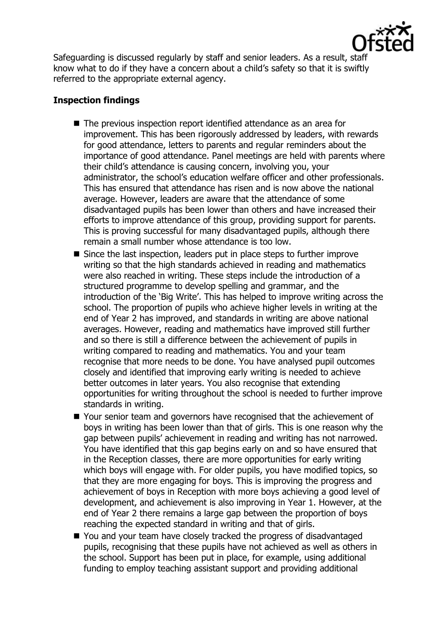

Safeguarding is discussed regularly by staff and senior leaders. As a result, staff know what to do if they have a concern about a child's safety so that it is swiftly referred to the appropriate external agency.

# **Inspection findings**

- The previous inspection report identified attendance as an area for improvement. This has been rigorously addressed by leaders, with rewards for good attendance, letters to parents and regular reminders about the importance of good attendance. Panel meetings are held with parents where their child's attendance is causing concern, involving you, your administrator, the school's education welfare officer and other professionals. This has ensured that attendance has risen and is now above the national average. However, leaders are aware that the attendance of some disadvantaged pupils has been lower than others and have increased their efforts to improve attendance of this group, providing support for parents. This is proving successful for many disadvantaged pupils, although there remain a small number whose attendance is too low.
- Since the last inspection, leaders put in place steps to further improve writing so that the high standards achieved in reading and mathematics were also reached in writing. These steps include the introduction of a structured programme to develop spelling and grammar, and the introduction of the 'Big Write'. This has helped to improve writing across the school. The proportion of pupils who achieve higher levels in writing at the end of Year 2 has improved, and standards in writing are above national averages. However, reading and mathematics have improved still further and so there is still a difference between the achievement of pupils in writing compared to reading and mathematics. You and your team recognise that more needs to be done. You have analysed pupil outcomes closely and identified that improving early writing is needed to achieve better outcomes in later years. You also recognise that extending opportunities for writing throughout the school is needed to further improve standards in writing.
- Your senior team and governors have recognised that the achievement of boys in writing has been lower than that of girls. This is one reason why the gap between pupils' achievement in reading and writing has not narrowed. You have identified that this gap begins early on and so have ensured that in the Reception classes, there are more opportunities for early writing which boys will engage with. For older pupils, you have modified topics, so that they are more engaging for boys. This is improving the progress and achievement of boys in Reception with more boys achieving a good level of development, and achievement is also improving in Year 1. However, at the end of Year 2 there remains a large gap between the proportion of boys reaching the expected standard in writing and that of girls.
- You and your team have closely tracked the progress of disadvantaged pupils, recognising that these pupils have not achieved as well as others in the school. Support has been put in place, for example, using additional funding to employ teaching assistant support and providing additional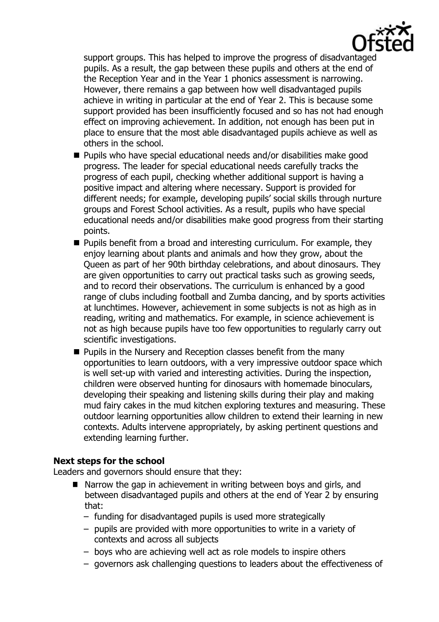

support groups. This has helped to improve the progress of disadvantaged pupils. As a result, the gap between these pupils and others at the end of the Reception Year and in the Year 1 phonics assessment is narrowing. However, there remains a gap between how well disadvantaged pupils achieve in writing in particular at the end of Year 2. This is because some support provided has been insufficiently focused and so has not had enough effect on improving achievement. In addition, not enough has been put in place to ensure that the most able disadvantaged pupils achieve as well as others in the school.

- $\blacksquare$  Pupils who have special educational needs and/or disabilities make good progress. The leader for special educational needs carefully tracks the progress of each pupil, checking whether additional support is having a positive impact and altering where necessary. Support is provided for different needs; for example, developing pupils' social skills through nurture groups and Forest School activities. As a result, pupils who have special educational needs and/or disabilities make good progress from their starting points.
- $\blacksquare$  Pupils benefit from a broad and interesting curriculum. For example, they enjoy learning about plants and animals and how they grow, about the Queen as part of her 90th birthday celebrations, and about dinosaurs. They are given opportunities to carry out practical tasks such as growing seeds, and to record their observations. The curriculum is enhanced by a good range of clubs including football and Zumba dancing, and by sports activities at lunchtimes. However, achievement in some subjects is not as high as in reading, writing and mathematics. For example, in science achievement is not as high because pupils have too few opportunities to regularly carry out scientific investigations.
- **Pupils in the Nursery and Reception classes benefit from the many** opportunities to learn outdoors, with a very impressive outdoor space which is well set-up with varied and interesting activities. During the inspection, children were observed hunting for dinosaurs with homemade binoculars, developing their speaking and listening skills during their play and making mud fairy cakes in the mud kitchen exploring textures and measuring. These outdoor learning opportunities allow children to extend their learning in new contexts. Adults intervene appropriately, by asking pertinent questions and extending learning further.

## **Next steps for the school**

Leaders and governors should ensure that they:

- Narrow the gap in achievement in writing between boys and girls, and between disadvantaged pupils and others at the end of Year 2 by ensuring that:
	- funding for disadvantaged pupils is used more strategically
	- pupils are provided with more opportunities to write in a variety of contexts and across all subjects
	- boys who are achieving well act as role models to inspire others
	- governors ask challenging questions to leaders about the effectiveness of